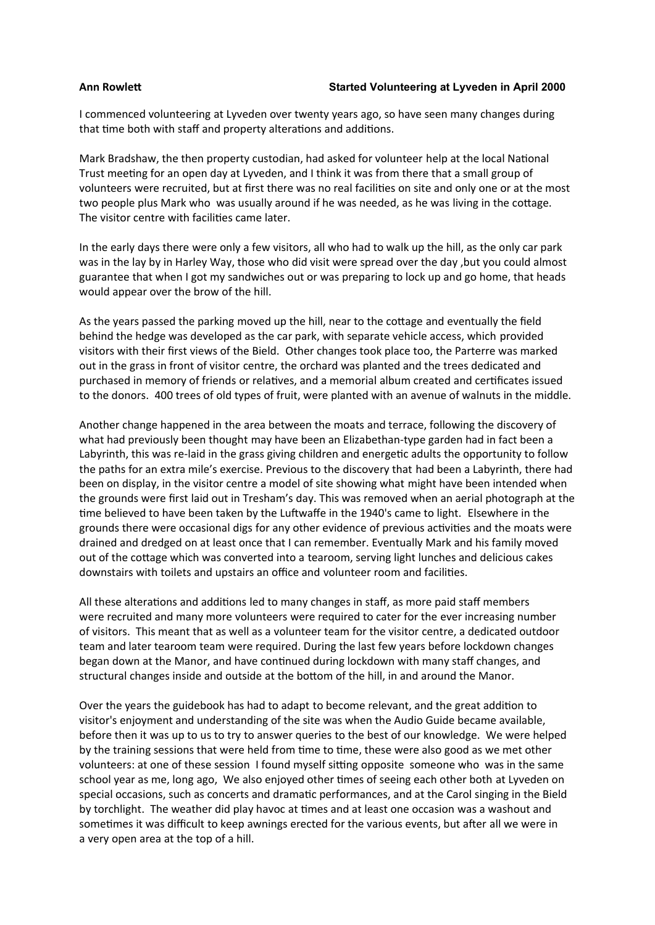## **Ann Rowlett Started Volunteering at Lyveden in April 2000**

I commenced volunteering at Lyveden over twenty years ago, so have seen many changes during that time both with staff and property alterations and additions.

Mark Bradshaw, the then property custodian, had asked for volunteer help at the local National Trust meeting for an open day at Lyveden, and I think it was from there that a small group of volunteers were recruited, but at first there was no real facilities on site and only one or at the most two people plus Mark who was usually around if he was needed, as he was living in the cottage. The visitor centre with facilities came later.

In the early days there were only a few visitors, all who had to walk up the hill, as the only car park was in the lay by in Harley Way, those who did visit were spread over the day ,but you could almost guarantee that when I got my sandwiches out or was preparing to lock up and go home, that heads would appear over the brow of the hill.

As the years passed the parking moved up the hill, near to the cottage and eventually the field behind the hedge was developed as the car park, with separate vehicle access, which provided visitors with their first views of the Bield. Other changes took place too, the Parterre was marked out in the grass in front of visitor centre, the orchard was planted and the trees dedicated and purchased in memory of friends or relatives, and a memorial album created and certificates issued to the donors. 400 trees of old types of fruit, were planted with an avenue of walnuts in the middle.

Another change happened in the area between the moats and terrace, following the discovery of what had previously been thought may have been an Elizabethan-type garden had in fact been a Labyrinth, this was re-laid in the grass giving children and energetic adults the opportunity to follow the paths for an extra mile's exercise. Previous to the discovery that had been a Labyrinth, there had been on display, in the visitor centre a model of site showing what might have been intended when the grounds were first laid out in Tresham's day. This was removed when an aerial photograph at the time believed to have been taken by the Luftwaffe in the 1940's came to light. Elsewhere in the grounds there were occasional digs for any other evidence of previous activities and the moats were drained and dredged on at least once that I can remember. Eventually Mark and his family moved out of the cottage which was converted into a tearoom, serving light lunches and delicious cakes downstairs with toilets and upstairs an office and volunteer room and facilities.

All these alterations and additions led to many changes in staff, as more paid staff members were recruited and many more volunteers were required to cater for the ever increasing number of visitors. This meant that as well as a volunteer team for the visitor centre, a dedicated outdoor team and later tearoom team were required. During the last few years before lockdown changes began down at the Manor, and have continued during lockdown with many staff changes, and structural changes inside and outside at the bottom of the hill, in and around the Manor.

Over the years the guidebook has had to adapt to become relevant, and the great addition to visitor's enjoyment and understanding of the site was when the Audio Guide became available, before then it was up to us to try to answer queries to the best of our knowledge. We were helped by the training sessions that were held from time to time, these were also good as we met other volunteers: at one of these session I found myself sitting opposite someone who was in the same school year as me, long ago, We also enjoyed other times of seeing each other both at Lyveden on special occasions, such as concerts and dramatic performances, and at the Carol singing in the Bield by torchlight. The weather did play havoc at times and at least one occasion was a washout and sometimes it was difficult to keep awnings erected for the various events, but after all we were in a very open area at the top of a hill.